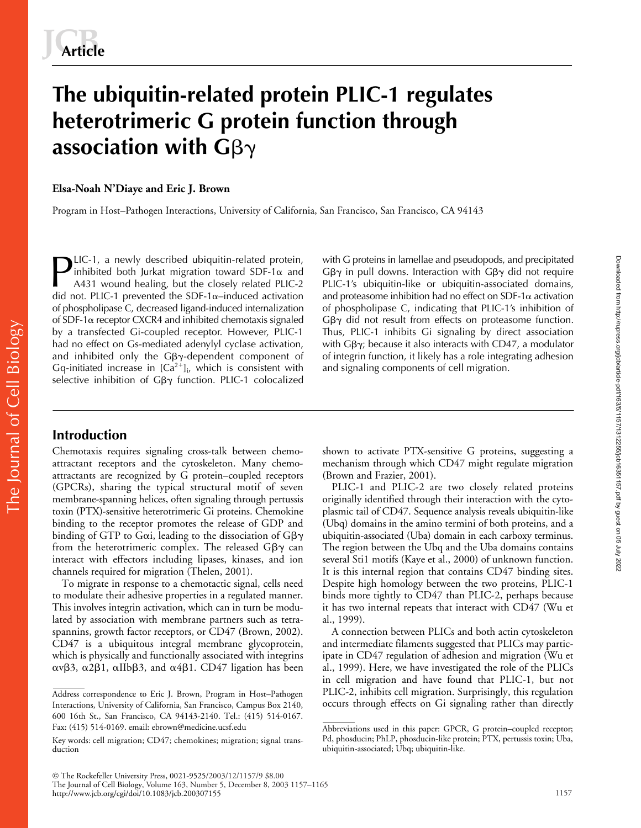# **The ubiquitin-related protein PLIC-1 regulates heterotrimeric G protein function through**  association with  $\mathsf{G}\beta\gamma$

**Elsa-Noah N'Diaye and Eric J. Brown**

Program in Host–Pathogen Interactions, University of California, San Francisco, San Francisco, CA 94143

LIC-1, a newly described ubiquitin-related protein, inhibited both Jurkat migration toward SDF-1 $\alpha$  and A431 wound healing, but the closely related PLIC-2 did not. PLIC-1 prevented the SDF-1 $\alpha$ –induced activation of phospholipase C, decreased ligand-induced internalization of SDF-1 $\alpha$  receptor CXCR4 and inhibited chemotaxis signaled by a transfected Gi-coupled receptor. However, PLIC-1 had no effect on Gs-mediated adenylyl cyclase activation, and inhibited only the G $\beta\gamma$ -dependent component of Gq-initiated increase in  $[Ca^{2+}]$ <sub>i</sub>, which is consistent with selective inhibition of G $\beta\gamma$  function. PLIC-1 colocalized **PLIC-1**, a newly described ubiquitin-related protein, with G proteins in lamellae and pseudopods, and precipitated inhibited both Jurkat migration toward SDF-1 $\alpha$  and G $\beta\gamma$  in pull downs. Interaction with G $\beta\gamma$  did

 $G\beta\gamma$  in pull downs. Interaction with  $G\beta\gamma$  did not require PLIC-1's ubiquitin-like or ubiquitin-associated domains, and proteasome inhibition had no effect on SDF-1 $\alpha$  activation of phospholipase C, indicating that PLIC-1's inhibition of  $G\beta\gamma$  did not result from effects on proteasome function. Thus, PLIC-1 inhibits Gi signaling by direct association with Gβ $\gamma$ ; because it also interacts with CD47, a modulator of integrin function, it likely has a role integrating adhesion and signaling components of cell migration.

# **Introduction**

Chemotaxis requires signaling cross-talk between chemoattractant receptors and the cytoskeleton. Many chemoattractants are recognized by G protein–coupled receptors (GPCRs), sharing the typical structural motif of seven membrane-spanning helices, often signaling through pertussis toxin (PTX)-sensitive heterotrimeric Gi proteins. Chemokine binding to the receptor promotes the release of GDP and binding of GTP to G $\alpha$ i, leading to the dissociation of G $\beta\gamma$ from the heterotrimeric complex. The released Gβ $\gamma$  can interact with effectors including lipases, kinases, and ion channels required for migration (Thelen, 2001).

To migrate in response to a chemotactic signal, cells need to modulate their adhesive properties in a regulated manner. This involves integrin activation, which can in turn be modulated by association with membrane partners such as tetraspannins, growth factor receptors, or CD47 (Brown, 2002). CD47 is a ubiquitous integral membrane glycoprotein, which is physically and functionally associated with integrins  $\alpha v\beta$ 3,  $\alpha$ 2 $\beta$ 1,  $\alpha$ IIb $\beta$ 3, and  $\alpha$ 4 $\beta$ 1. CD47 ligation has been

shown to activate PTX-sensitive G proteins, suggesting a mechanism through which CD47 might regulate migration (Brown and Frazier, 2001).

PLIC-1 and PLIC-2 are two closely related proteins originally identified through their interaction with the cytoplasmic tail of CD47. Sequence analysis reveals ubiquitin-like (Ubq) domains in the amino termini of both proteins, and a ubiquitin-associated (Uba) domain in each carboxy terminus. The region between the Ubq and the Uba domains contains several Sti1 motifs (Kaye et al., 2000) of unknown function. It is this internal region that contains CD47 binding sites. Despite high homology between the two proteins, PLIC-1 binds more tightly to CD47 than PLIC-2, perhaps because it has two internal repeats that interact with CD47 (Wu et al., 1999).

A connection between PLICs and both actin cytoskeleton and intermediate filaments suggested that PLICs may participate in CD47 regulation of adhesion and migration (Wu et al., 1999). Here, we have investigated the role of the PLICs in cell migration and have found that PLIC-1, but not PLIC-2, inhibits cell migration. Surprisingly, this regulation Address correspondence to Eric J. Brown, Program in Host–Pathogen PLIC-2, inhibits cell migration. Surprisingly, this regulation<br>Interactions, University of California, San Francisco, Campus Box 2140, occurs through effect Downloaded from http://rupress.org/jcb/article-pdf/163/6/157/1312255/jcb16351157.pdf by guest on 05 July 2022 Downloaded from http://rupress.org/jcb/article-pdf/163/5/1157/1312255/jcb16351157.pdf by guest on 05 July 2022

Interactions, University of California, San Francisco, Campus Box 2140, 600 16th St., San Francisco, CA 94143-2140. Tel.: (415) 514-0167. Fax: (415) 514-0169. email: ebrown@medicine.ucsf.edu

Key words: cell migration; CD47; chemokines; migration; signal transduction

Abbreviations used in this paper: GPCR, G protein–coupled receptor; Pd, phosducin; PhLP, phosducin-like protein; PTX, pertussis toxin; Uba, ubiquitin-associated; Ubq; ubiquitin-like.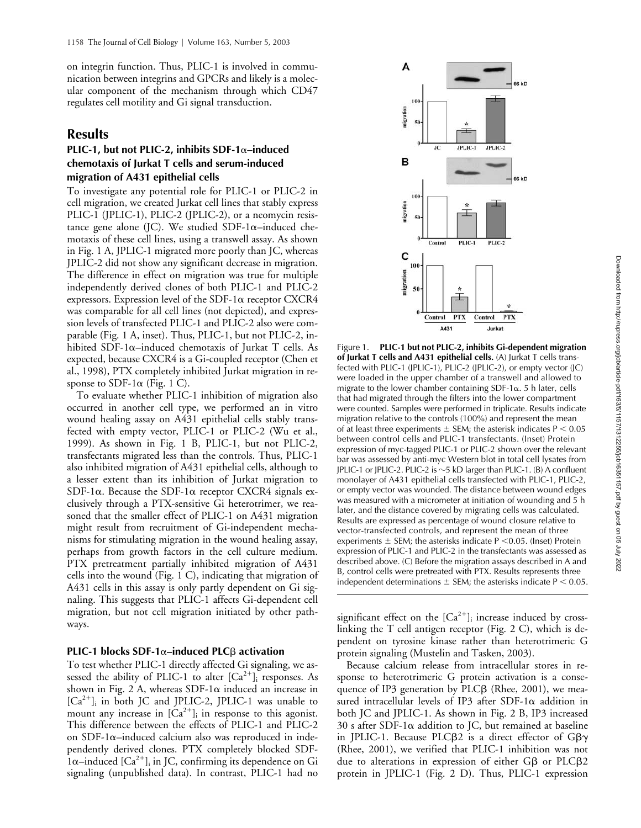on integrin function. Thus, PLIC-1 is involved in communication between integrins and GPCRs and likely is a molecular component of the mechanism through which CD47 regulates cell motility and Gi signal transduction.

## **Results**

## **PLIC-1, but not PLIC-2, inhibits SDF-1–induced chemotaxis of Jurkat T cells and serum-induced migration of A431 epithelial cells**

To investigate any potential role for PLIC-1 or PLIC-2 in cell migration, we created Jurkat cell lines that stably express PLIC-1 (JPLIC-1), PLIC-2 (JPLIC-2), or a neomycin resistance gene alone (JC). We studied SDF-1 $\alpha$ -induced chemotaxis of these cell lines, using a transwell assay. As shown in Fig. 1 A, JPLIC-1 migrated more poorly than JC, whereas JPLIC-2 did not show any significant decrease in migration. The difference in effect on migration was true for multiple independently derived clones of both PLIC-1 and PLIC-2 expressors. Expression level of the SDF-1 $\alpha$  receptor CXCR4 was comparable for all cell lines (not depicted), and expression levels of transfected PLIC-1 and PLIC-2 also were comparable (Fig. 1 A, inset). Thus, PLIC-1, but not PLIC-2, inhibited SDF-1 $\alpha$ –induced chemotaxis of Jurkat T cells. As expected, because CXCR4 is a Gi-coupled receptor (Chen et al., 1998), PTX completely inhibited Jurkat migration in response to SDF-1 $\alpha$  (Fig. 1 C).

To evaluate whether PLIC-1 inhibition of migration also occurred in another cell type, we performed an in vitro wound healing assay on A431 epithelial cells stably transfected with empty vector, PLIC-1 or PLIC-2 (Wu et al., 1999). As shown in Fig. 1 B, PLIC-1, but not PLIC-2, transfectants migrated less than the controls. Thus, PLIC-1 also inhibited migration of A431 epithelial cells, although to a lesser extent than its inhibition of Jurkat migration to SDF-1 $\alpha$ . Because the SDF-1 $\alpha$  receptor CXCR4 signals exclusively through a PTX-sensitive Gi heterotrimer, we reasoned that the smaller effect of PLIC-1 on A431 migration might result from recruitment of Gi-independent mechanisms for stimulating migration in the wound healing assay, perhaps from growth factors in the cell culture medium. PTX pretreatment partially inhibited migration of A431 cells into the wound (Fig. 1 C), indicating that migration of A431 cells in this assay is only partly dependent on Gi signaling. This suggests that PLIC-1 affects Gi-dependent cell migration, but not cell migration initiated by other pathways.

## **PLIC-1 blocks SDF-1α-induced PLC**β activation

To test whether PLIC-1 directly affected Gi signaling, we assessed the ability of PLIC-1 to alter  $[Ca^{2+}]$ <sub>i</sub> responses. As shown in Fig. 2 A, whereas  $SDF-1\alpha$  induced an increase in  $[Ca<sup>2+</sup>]$ <sub>i</sub> in both JC and JPLIC-2, JPLIC-1 was unable to mount any increase in  $[Ca^{2+}]_i$  in response to this agonist. This difference between the effects of PLIC-1 and PLIC-2 on SDF-1 $\alpha$ -induced calcium also was reproduced in independently derived clones. PTX completely blocked SDF- $1\alpha$ –induced  $[Ca^{2+}]$ <sub>i</sub> in JC, confirming its dependence on Gi signaling (unpublished data). In contrast, PLIC-1 had no



Figure 1. **PLIC-1 but not PLIC-2, inhibits Gi-dependent migration of Jurkat T cells and A431 epithelial cells.** (A) Jurkat T cells transfected with PLIC-1 (JPLIC-1), PLIC-2 (JPLIC-2), or empty vector (JC) were loaded in the upper chamber of a transwell and allowed to migrate to the lower chamber containing SDF-1 $\alpha$ . 5 h later, cells that had migrated through the filters into the lower compartment were counted. Samples were performed in triplicate. Results indicate migration relative to the controls (100%) and represent the mean of at least three experiments  $\pm$  SEM; the asterisk indicates P  $< 0.05$ between control cells and PLIC-1 transfectants. (Inset) Protein expression of myc-tagged PLIC-1 or PLIC-2 shown over the relevant bar was assessed by anti-myc Western blot in total cell lysates from JPLIC-1 or JPLIC-2. PLIC-2 is  $\sim$ 5 kD larger than PLIC-1. (B) A confluent monolayer of A431 epithelial cells transfected with PLIC-1, PLIC-2, or empty vector was wounded. The distance between wound edges was measured with a micrometer at initiation of wounding and 5 h later, and the distance covered by migrating cells was calculated. Results are expressed as percentage of wound closure relative to vector-transfected controls, and represent the mean of three experiments  $\pm$  SEM; the asterisks indicate P < 0.05. (Inset) Protein expression of PLIC-1 and PLIC-2 in the transfectants was assessed as described above. (C) Before the migration assays described in A and B, control cells were pretreated with PTX. Results represents three independent determinations  $\pm$  SEM; the asterisks indicate P < 0.05.

significant effect on the  $[Ca^{2+}]$ <sub>i</sub> increase induced by crosslinking the T cell antigen receptor (Fig. 2 C), which is dependent on tyrosine kinase rather than heterotrimeric G protein signaling (Mustelin and Tasken, 2003).

Because calcium release from intracellular stores in response to heterotrimeric G protein activation is a consequence of IP3 generation by PLCB (Rhee, 2001), we measured intracellular levels of IP3 after SDF-1 $\alpha$  addition in both JC and JPLIC-1. As shown in Fig. 2 B, IP3 increased 30 s after SDF-1 $\alpha$  addition to JC, but remained at baseline in JPLIC-1. Because PLC $\beta$ 2 is a direct effector of G $\beta\gamma$ (Rhee, 2001), we verified that PLIC-1 inhibition was not due to alterations in expression of either  $G\beta$  or PLC $\beta$ 2 protein in JPLIC-1 (Fig. 2 D). Thus, PLIC-1 expression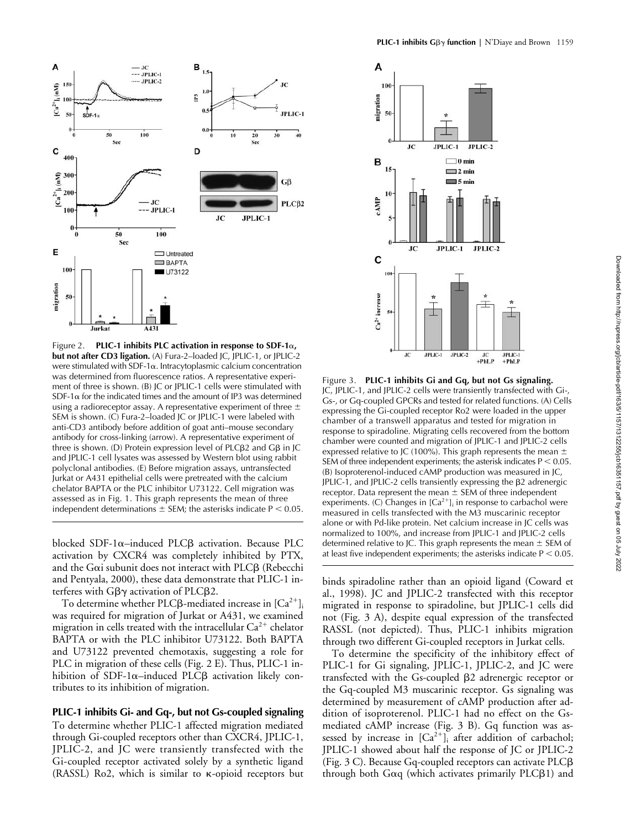

Figure 2. **PLIC-1 inhibits PLC activation in response to SDF-1, but not after CD3 ligation.** (A) Fura-2–loaded JC, JPLIC-1, or JPLIC-2 were stimulated with SDF-1 $\alpha$ . Intracytoplasmic calcium concentration was determined from fluorescence ratios. A representative experiment of three is shown. (B) JC or JPLIC-1 cells were stimulated with SDF-1 $\alpha$  for the indicated times and the amount of IP3 was determined using a radioreceptor assay. A representative experiment of three  $\pm$ SEM is shown. (C) Fura-2–loaded JC or JPLIC-1 were labeled with anti-CD3 antibody before addition of goat anti–mouse secondary antibody for cross-linking (arrow). A representative experiment of three is shown. (D) Protein expression level of PLC $\beta$ 2 and G $\beta$  in JC and JPLIC-1 cell lysates was assessed by Western blot using rabbit polyclonal antibodies. (E) Before migration assays, untransfected Jurkat or A431 epithelial cells were pretreated with the calcium chelator BAPTA or the PLC inhibitor U73122. Cell migration was assessed as in Fig. 1. This graph represents the mean of three independent determinations  $\pm$  SEM; the asterisks indicate P  $\leq$  0.05.

blocked SDF-1α-induced PLCβ activation. Because PLC activation by CXCR4 was completely inhibited by PTX, and the G $\alpha$ i subunit does not interact with PLC $\beta$  (Rebecchi and Pentyala, 2000), these data demonstrate that PLIC-1 interferes with G $\beta\gamma$  activation of PLC $\beta$ 2.

To determine whether PLCβ-mediated increase in  ${\rm [Ca^{2+}]}$ i was required for migration of Jurkat or A431, we examined migration in cells treated with the intracellular  $Ca^{2+}$  chelator BAPTA or with the PLC inhibitor U73122. Both BAPTA and U73122 prevented chemotaxis, suggesting a role for PLC in migration of these cells (Fig. 2 E). Thus, PLIC-1 inhibition of SDF-1 $\alpha$ –induced PLC $\beta$  activation likely contributes to its inhibition of migration.

**PLIC-1 inhibits Gi- and Gq-, but not Gs-coupled signaling** To determine whether PLIC-1 affected migration mediated through Gi-coupled receptors other than CXCR4, JPLIC-1, JPLIC-2, and JC were transiently transfected with the Gi-coupled receptor activated solely by a synthetic ligand  $(RASSL)$  Ro2, which is similar to  $\kappa$ -opioid receptors but



Figure 3. **PLIC-1 inhibits Gi and Gq, but not Gs signaling.** JC, JPLIC-1, and JPLIC-2 cells were transiently transfected with Gi-, Gs-, or Gq-coupled GPCRs and tested for related functions. (A) Cells expressing the Gi-coupled receptor Ro2 were loaded in the upper chamber of a transwell apparatus and tested for migration in response to spiradoline. Migrating cells recovered from the bottom chamber were counted and migration of JPLIC-1 and JPLIC-2 cells expressed relative to JC (100%). This graph represents the mean  $\pm$ SEM of three independent experiments; the asterisk indicates  $P < 0.05$ . (B) Isoproterenol-induced cAMP production was measured in JC, JPLIC-1, and JPLIC-2 cells transiently expressing the  $\beta$ 2 adrenergic receptor. Data represent the mean  $\pm$  SEM of three independent experiments. (C) Changes in  $[Ca<sup>2+</sup>]$  in response to carbachol were measured in cells transfected with the M3 muscarinic receptor alone or with Pd-like protein. Net calcium increase in JC cells was normalized to 100%, and increase from JPLIC-1 and JPLIC-2 cells determined relative to JC. This graph represents the mean  $\pm$  SEM of at least five independent experiments; the asterisks indicate  $P < 0.05$ .

binds spiradoline rather than an opioid ligand (Coward et al., 1998). JC and JPLIC-2 transfected with this receptor migrated in response to spiradoline, but JPLIC-1 cells did not (Fig. 3 A), despite equal expression of the transfected RASSL (not depicted). Thus, PLIC-1 inhibits migration through two different Gi-coupled receptors in Jurkat cells.

To determine the specificity of the inhibitory effect of PLIC-1 for Gi signaling, JPLIC-1, JPLIC-2, and JC were transfected with the Gs-coupled  $\beta$ 2 adrenergic receptor or the Gq-coupled M3 muscarinic receptor. Gs signaling was determined by measurement of cAMP production after addition of isoproterenol. PLIC-1 had no effect on the Gsmediated cAMP increase (Fig. 3 B). Gq function was assessed by increase in  $[Ca^{2+}]$  after addition of carbachol; JPLIC-1 showed about half the response of JC or JPLIC-2 (Fig.  $3$  C). Because Gq-coupled receptors can activate PLC $\beta$ through both G $\alpha$ q (which activates primarily PLC $\beta$ 1) and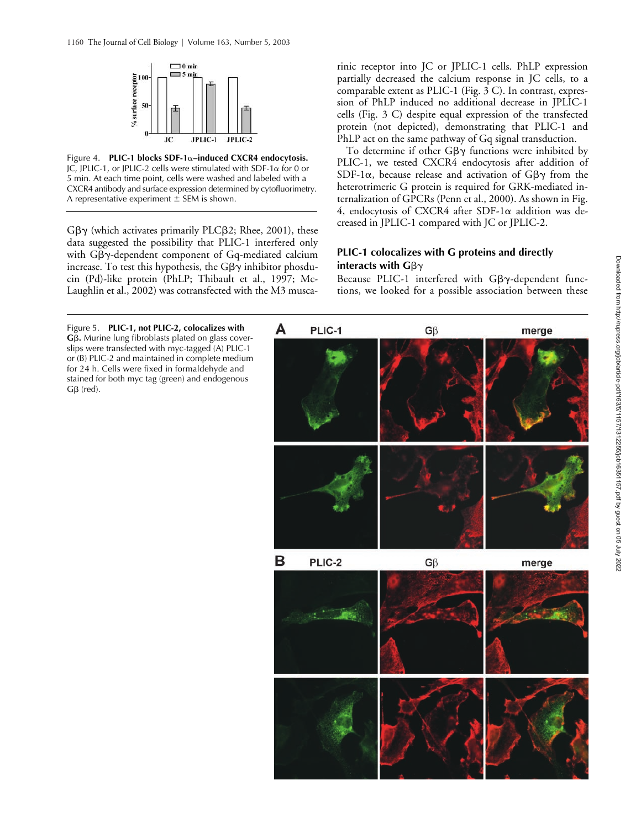

Figure 4. **PLIC-1 blocks SDF-1–induced CXCR4 endocytosis.** JC, JPLIC-1, or JPLIC-2 cells were stimulated with SDF-1 $\alpha$  for 0 or 5 min. At each time point, cells were washed and labeled with a CXCR4 antibody and surface expression determined by cytofluorimetry. A representative experiment  $\pm$  SEM is shown.

Gβγ (which activates primarily PLCβ2; Rhee, 2001), these data suggested the possibility that PLIC-1 interfered only with Gβγ-dependent component of Gq-mediated calcium increase. To test this hypothesis, the G $\beta\gamma$  inhibitor phosducin (Pd)-like protein (PhLP; Thibault et al., 1997; Mc-Laughlin et al., 2002) was cotransfected with the M3 musca-

 $G\beta$  (red).

rinic receptor into JC or JPLIC-1 cells. PhLP expression partially decreased the calcium response in JC cells, to a comparable extent as PLIC-1 (Fig. 3 C). In contrast, expression of PhLP induced no additional decrease in JPLIC-1 cells (Fig. 3 C) despite equal expression of the transfected protein (not depicted), demonstrating that PLIC-1 and PhLP act on the same pathway of Gq signal transduction.

To determine if other  $G\beta\gamma$  functions were inhibited by PLIC-1, we tested CXCR4 endocytosis after addition of SDF-1 $\alpha$ , because release and activation of G $\beta\gamma$  from the heterotrimeric G protein is required for GRK-mediated internalization of GPCRs (Penn et al., 2000). As shown in Fig. 4, endocytosis of CXCR4 after SDF-1 $\alpha$  addition was decreased in JPLIC-1 compared with JC or JPLIC-2.

## **PLIC-1 colocalizes with G proteins and directly**  interacts with  $\mathsf{G}\beta\gamma$

Because PLIC-1 interfered with  $G\beta\gamma$ -dependent functions, we looked for a possible association between these

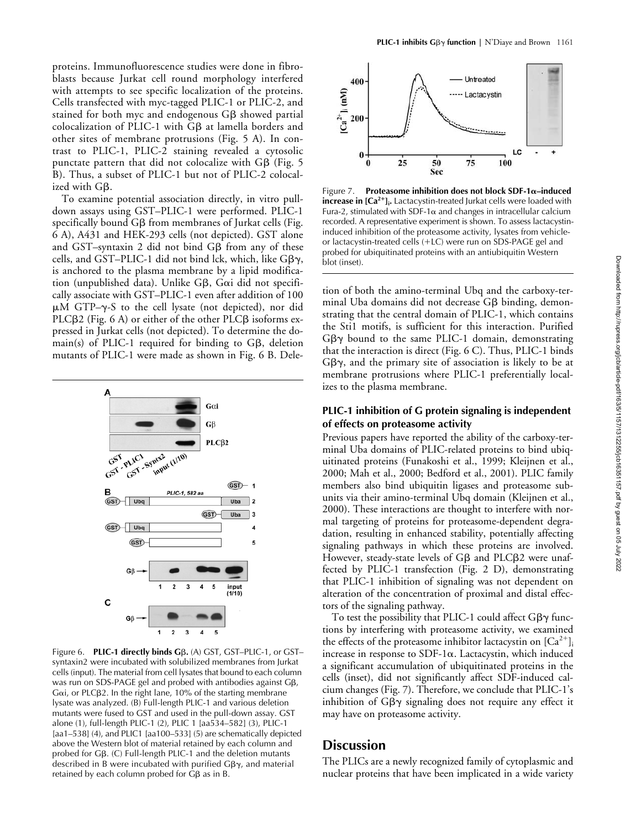proteins. Immunofluorescence studies were done in fibroblasts because Jurkat cell round morphology interfered with attempts to see specific localization of the proteins. Cells transfected with myc-tagged PLIC-1 or PLIC-2, and stained for both myc and endogenous G $\beta$  showed partial colocalization of PLIC-1 with  $G\beta$  at lamella borders and other sites of membrane protrusions (Fig. 5 A). In contrast to PLIC-1, PLIC-2 staining revealed a cytosolic punctate pattern that did not colocalize with G $\beta$  (Fig. 5 B). Thus, a subset of PLIC-1 but not of PLIC-2 colocalized with  $G\beta.$ 

To examine potential association directly, in vitro pulldown assays using GST–PLIC-1 were performed. PLIC-1  ${\rm specifically}$  bound G $\beta$  from membranes of Jurkat cells (Fig. 6 A), A431 and HEK-293 cells (not depicted). GST alone and GST–syntaxin 2 did not bind G $\beta$  from any of these cells, and GST–PLIC-1 did not bind lck, which, like G $\beta\gamma$ , is anchored to the plasma membrane by a lipid modification (unpublished data). Unlike Gß, G $\alpha$ i did not specifically associate with GST–PLIC-1 even after addition of 100  $\mu$ M GTP- $\gamma$ -S to the cell lysate (not depicted), nor did PLC $\beta$ 2 (Fig. 6 A) or either of the other PLC $\beta$  isoforms expressed in Jurkat cells (not depicted). To determine the do $main(s)$  of PLIC-1 required for binding to G $\beta$ , deletion mutants of PLIC-1 were made as shown in Fig. 6 B. Dele-



Figure 6. **PLIC-1 directly binds G**β. (A) GST, GST–PLIC-1, or GST– syntaxin2 were incubated with solubilized membranes from Jurkat cells (input). The material from cell lysates that bound to each column was run on SDS-PAGE gel and probed with antibodies against G $\beta$ ,  $Ga$ i, or PLC $\beta$ 2. In the right lane, 10% of the starting membrane lysate was analyzed. (B) Full-length PLIC-1 and various deletion mutants were fused to GST and used in the pull-down assay. GST alone (1), full-length PLIC-1 (2), PLIC 1 [aa534–582] (3), PLIC-1 [aa1–538] (4), and PLIC1 [aa100–533] (5) are schematically depicted above the Western blot of material retained by each column and probed for Gβ. (C) Full-length PLIC-1 and the deletion mutants described in B were incubated with purified  $G\beta\gamma$ , and material retained by each column probed for G $\beta$  as in B.



**Figure 7.** Proteasome inhibition does not block SDF-1α-induced **increase in [Ca<sup>2+</sup>]<sub>i</sub>.** Lactacystin-treated Jurkat cells were loaded with Fura-2, stimulated with SDF-1 $\alpha$  and changes in intracellular calcium recorded. A representative experiment is shown. To assess lactacystininduced inhibition of the proteasome activity, lysates from vehicleor lactacystin-treated cells  $(+LC)$  were run on SDS-PAGE gel and probed for ubiquitinated proteins with an antiubiquitin Western blot (inset).

tion of both the amino-terminal Ubq and the carboxy-terminal Uba domains did not decrease Gß binding, demonstrating that the central domain of PLIC-1, which contains the Sti1 motifs, is sufficient for this interaction. Purified  $G\beta\gamma$  bound to the same PLIC-1 domain, demonstrating that the interaction is direct (Fig. 6 C). Thus, PLIC-1 binds  $G\beta\gamma$ , and the primary site of association is likely to be at membrane protrusions where PLIC-1 preferentially localizes to the plasma membrane.

## **PLIC-1 inhibition of G protein signaling is independent of effects on proteasome activity**

Previous papers have reported the ability of the carboxy-terminal Uba domains of PLIC-related proteins to bind ubiquitinated proteins (Funakoshi et al., 1999; Kleijnen et al., 2000; Mah et al., 2000; Bedford et al., 2001). PLIC family members also bind ubiquitin ligases and proteasome subunits via their amino-terminal Ubq domain (Kleijnen et al., 2000). These interactions are thought to interfere with normal targeting of proteins for proteasome-dependent degradation, resulting in enhanced stability, potentially affecting signaling pathways in which these proteins are involved. However, steady-state levels of Gß and PLCß2 were unaffected by PLIC-1 transfection (Fig. 2 D), demonstrating that PLIC-1 inhibition of signaling was not dependent on alteration of the concentration of proximal and distal effectors of the signaling pathway.

To test the possibility that PLIC-1 could affect Gβ $\gamma$  functions by interfering with proteasome activity, we examined the effects of the proteasome inhibitor lactacystin on  $\lbrack Ca^{2+}\rbrack$ increase in response to  $SDF-1\alpha$ . Lactacystin, which induced a significant accumulation of ubiquitinated proteins in the cells (inset), did not significantly affect SDF-induced calcium changes (Fig. 7). Therefore, we conclude that PLIC-1's inhibition of  $G\beta\gamma$  signaling does not require any effect it may have on proteasome activity.

# **Discussion**

The PLICs are a newly recognized family of cytoplasmic and nuclear proteins that have been implicated in a wide variety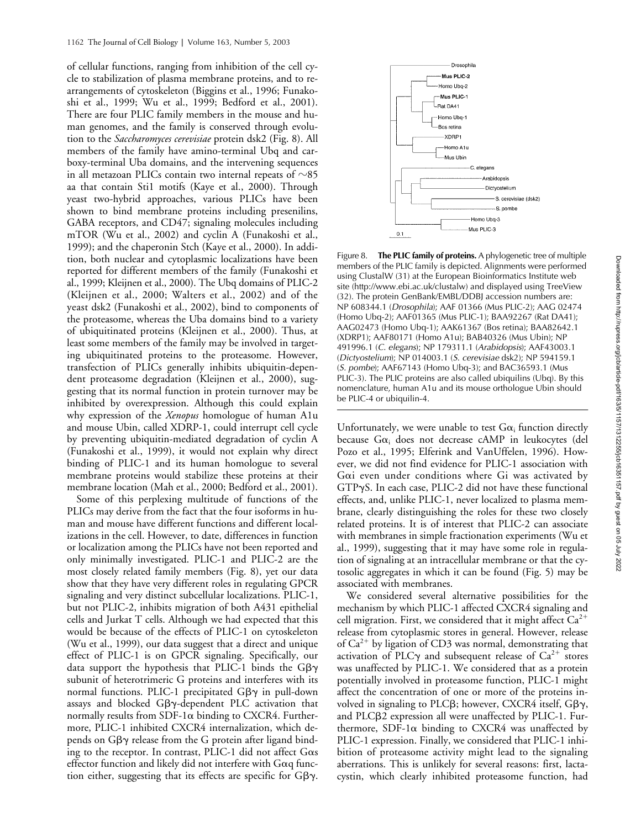of cellular functions, ranging from inhibition of the cell cycle to stabilization of plasma membrane proteins, and to rearrangements of cytoskeleton (Biggins et al., 1996; Funakoshi et al., 1999; Wu et al., 1999; Bedford et al., 2001). There are four PLIC family members in the mouse and human genomes, and the family is conserved through evolution to the *Saccharomyces cerevisiae* protein dsk2 (Fig. 8). All members of the family have amino-terminal Ubq and carboxy-terminal Uba domains, and the intervening sequences in all metazoan PLICs contain two internal repeats of  ${\sim}85$ aa that contain Sti1 motifs (Kaye et al., 2000). Through yeast two-hybrid approaches, various PLICs have been shown to bind membrane proteins including presenilins, GABA receptors, and CD47; signaling molecules including mTOR (Wu et al., 2002) and cyclin A (Funakoshi et al., 1999); and the chaperonin Stch (Kaye et al., 2000). In addition, both nuclear and cytoplasmic localizations have been reported for different members of the family (Funakoshi et al., 1999; Kleijnen et al., 2000). The Ubq domains of PLIC-2 (Kleijnen et al., 2000; Walters et al., 2002) and of the yeast dsk2 (Funakoshi et al., 2002), bind to components of the proteasome, whereas the Uba domains bind to a variety of ubiquitinated proteins (Kleijnen et al., 2000). Thus, at least some members of the family may be involved in targeting ubiquitinated proteins to the proteasome. However, transfection of PLICs generally inhibits ubiquitin-dependent proteasome degradation (Kleijnen et al., 2000), suggesting that its normal function in protein turnover may be inhibited by overexpression. Although this could explain why expression of the *Xenopus* homologue of human A1u and mouse Ubin, called XDRP-1, could interrupt cell cycle by preventing ubiquitin-mediated degradation of cyclin A (Funakoshi et al., 1999), it would not explain why direct binding of PLIC-1 and its human homologue to several membrane proteins would stabilize these proteins at their membrane location (Mah et al., 2000; Bedford et al., 2001).

Some of this perplexing multitude of functions of the PLICs may derive from the fact that the four isoforms in human and mouse have different functions and different localizations in the cell. However, to date, differences in function or localization among the PLICs have not been reported and only minimally investigated. PLIC-1 and PLIC-2 are the most closely related family members (Fig. 8), yet our data show that they have very different roles in regulating GPCR signaling and very distinct subcellular localizations. PLIC-1, but not PLIC-2, inhibits migration of both A431 epithelial cells and Jurkat T cells. Although we had expected that this would be because of the effects of PLIC-1 on cytoskeleton (Wu et al., 1999), our data suggest that a direct and unique effect of PLIC-1 is on GPCR signaling. Specifically, our data support the hypothesis that PLIC-1 binds the  $G\beta\gamma$ subunit of heterotrimeric G proteins and interferes with its normal functions. PLIC-1 precipitated Gβγ in pull-down assays and blocked  $G\beta\gamma$ -dependent PLC activation that normally results from SDF-1 $\alpha$  binding to CXCR4. Furthermore, PLIC-1 inhibited CXCR4 internalization, which depends on GBy release from the G protein after ligand binding to the receptor. In contrast, PLIC-1 did not affect  $G\alpha s$ effector function and likely did not interfere with  $G\alpha q$  function either, suggesting that its effects are specific for  $G\beta\gamma$ .



Figure 8. **The PLIC family of proteins.** A phylogenetic tree of multiple members of the PLIC family is depicted. Alignments were performed using ClustalW (31) at the European Bioinformatics Institute web site (http://www.ebi.ac.uk/clustalw) and displayed using TreeView (32). The protein GenBank/EMBL/DDBJ accession numbers are: NP 608344.1 (*Drosophila*); AAF 01366 (Mus PLIC-2); AAG 02474 (Homo Ubq-2); AAF01365 (Mus PLIC-1); BAA92267 (Rat DA41); AAG02473 (Homo Ubq-1); AAK61367 (Bos retina); BAA82642.1 (XDRP1); AAF80171 (Homo A1u); BAB40326 (Mus Ubin); NP 491996.1 (*C. elegans*); NP 179311.1 (*Arabidopsis*); AAF43003.1 (*Dictyostelium*); NP 014003.1 (*S. cerevisiae* dsk2); NP 594159.1 (*S. pombe*); AAF67143 (Homo Ubq-3); and BAC36593.1 (Mus PLIC-3). The PLIC proteins are also called ubiquilins (Ubq). By this nomenclature, human A1u and its mouse orthologue Ubin should be PLIC-4 or ubiquilin-4.

Unfortunately, we were unable to test  $G\alpha_i$  function directly because  $G\alpha_i$  does not decrease cAMP in leukocytes (del Pozo et al., 1995; Elferink and VanUffelen, 1996). However, we did not find evidence for PLIC-1 association with Goi even under conditions where Gi was activated by  $GTP\gamma S$ . In each case, PLIC-2 did not have these functional effects, and, unlike PLIC-1, never localized to plasma membrane, clearly distinguishing the roles for these two closely related proteins. It is of interest that PLIC-2 can associate with membranes in simple fractionation experiments (Wu et al., 1999), suggesting that it may have some role in regulation of signaling at an intracellular membrane or that the cytosolic aggregates in which it can be found (Fig. 5) may be associated with membranes.

We considered several alternative possibilities for the mechanism by which PLIC-1 affected CXCR4 signaling and cell migration. First, we considered that it might affect  $Ca^{2+}$ release from cytoplasmic stores in general. However, release of  $Ca^{2+}$  by ligation of CD3 was normal, demonstrating that activation of PLC $\gamma$  and subsequent release of Ca<sup>2+</sup> stores was unaffected by PLIC-1. We considered that as a protein potentially involved in proteasome function, PLIC-1 might affect the concentration of one or more of the proteins involved in signaling to PLC $\beta$ ; however, CXCR4 itself, G $\beta\gamma$ , and PLCB2 expression all were unaffected by PLIC-1. Furthermore, SDF-1 $\alpha$  binding to CXCR4 was unaffected by PLIC-1 expression. Finally, we considered that PLIC-1 inhibition of proteasome activity might lead to the signaling aberrations. This is unlikely for several reasons: first, lactacystin, which clearly inhibited proteasome function, had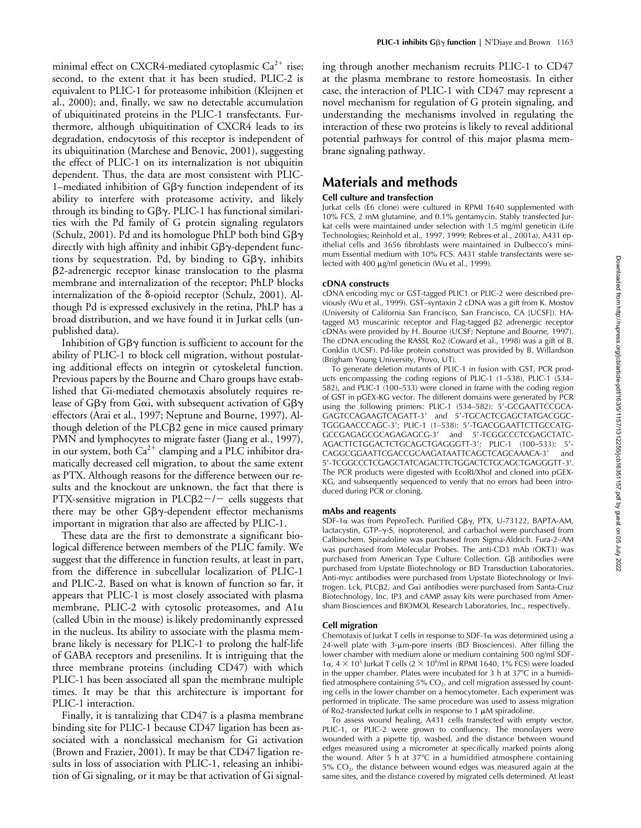minimal effect on CXCR4-mediated cytoplasmic  $Ca^{2+}$  rise; second, to the extent that it has been studied, PLIC-2 is equivalent to PLIC-1 for proteasome inhibition (Kleijnen et al., 2000); and, finally, we saw no detectable accumulation of ubiquitinated proteins in the PLIC-1 transfectants. Furthermore, although ubiquitination of CXCR4 leads to its degradation, endocytosis of this receptor is independent of its ubiquitination (Marchese and Benovic, 2001), suggesting the effect of PLIC-1 on its internalization is not ubiquitin dependent. Thus, the data are most consistent with PLIC-1-mediated inhibition of  $G\beta\gamma$  function independent of its ability to interfere with proteasome activity, and likely through its binding to  $G\beta\gamma$ . PLIC-1 has functional similarities with the Pd family of G protein signaling regulators (Schulz, 2001). Pd and its homologue PhLP both bind  $G\beta\gamma$ directly with high affinity and inhibit G $\beta\gamma$ -dependent functions by sequestration. Pd, by binding to  $G\beta\gamma$ , inhibits -2-adrenergic receptor kinase translocation to the plasma membrane and internalization of the receptor; PhLP blocks internalization of the  $\delta$ -opioid receptor (Schulz, 2001). Although Pd is expressed exclusively in the retina, PhLP has a broad distribution, and we have found it in Jurkat cells (unpublished data).

Inhibition of  $G\beta\gamma$  function is sufficient to account for the ability of PLIC-1 to block cell migration, without postulating additional effects on integrin or cytoskeletal function. Previous papers by the Bourne and Charo groups have established that Gi-mediated chemotaxis absolutely requires release of Gβ $\gamma$  from Gαi, with subsequent activation of Gβ $\gamma$ effectors (Arai et al., 1997; Neptune and Bourne, 1997). Although deletion of the PLCB2 gene in mice caused primary PMN and lymphocytes to migrate faster (Jiang et al., 1997), in our system, both  $Ca^{2+}$  clamping and a PLC inhibitor dramatically decreased cell migration, to about the same extent as PTX. Although reasons for the difference between our results and the knockout are unknown, the fact that there is  $PTX$ -sensitive migration in  $PLC\beta2-/-$  cells suggests that there may be other  $G\beta\gamma$ -dependent effector mechanisms important in migration that also are affected by PLIC-1.

These data are the first to demonstrate a significant biological difference between members of the PLIC family. We suggest that the difference in function results, at least in part, from the difference in subcellular localization of PLIC-1 and PLIC-2. Based on what is known of function so far, it appears that PLIC-1 is most closely associated with plasma membrane, PLIC-2 with cytosolic proteasomes, and A1u (called Ubin in the mouse) is likely predominantly expressed in the nucleus. Its ability to associate with the plasma membrane likely is necessary for PLIC-1 to prolong the half-life of GABA receptors and presenilins. It is intriguing that the three membrane proteins (including CD47) with which PLIC-1 has been associated all span the membrane multiple times. It may be that this architecture is important for PLIC-1 interaction.

Finally, it is tantalizing that CD47 is a plasma membrane binding site for PLIC-1 because CD47 ligation has been associated with a nonclassical mechanism for Gi activation (Brown and Frazier, 2001). It may be that CD47 ligation results in loss of association with PLIC-1, releasing an inhibition of Gi signaling, or it may be that activation of Gi signaling through another mechanism recruits PLIC-1 to CD47 at the plasma membrane to restore homeostasis. In either case, the interaction of PLIC-1 with CD47 may represent a novel mechanism for regulation of G protein signaling, and understanding the mechanisms involved in regulating the interaction of these two proteins is likely to reveal additional potential pathways for control of this major plasma membrane signaling pathway.

## **Materials and methods**

## **Cell culture and transfection**

Jurkat cells (E6 clone) were cultured in RPMI 1640 supplemented with 10% FCS, 2 mM glutamine, and 0.1% gentamycin. Stably transfected Jurkat cells were maintained under selection with 1.5 mg/ml geneticin (Life Technologies; Reinhold et al., 1997, 1999; Rebres et al., 2001a). A431 epithelial cells and 3656 fibroblasts were maintained in Dulbecco's minimum Essential medium with 10% FCS. A431 stable transfectants were selected with 400 µg/ml geneticin (Wu et al., 1999).

#### **cDNA constructs**

cDNA encoding myc or GST-tagged PLIC1 or PLIC-2 were described previously (Wu et al., 1999). GST–syntaxin 2 cDNA was a gift from K. Mostov (University of California San Francisco, San Francisco, CA [UCSF]). HAtagged M3 muscarinic receptor and Flag-tagged β2 adrenergic receptor cDNAs were provided by H. Bourne (UCSF; Neptune and Bourne, 1997). The cDNA encoding the RASSL Ro2 (Coward et al., 1998) was a gift of B. Conklin (UCSF). Pd-like protein construct was provided by B. Willardson (Brigham Young University, Provo, UT).

To generate deletion mutants of PLIC-1 in fusion with GST, PCR products encompassing the coding regions of PLIC-1 (1–538), PLIC-1 (534– 582), and PLIC-1 (100–533) were cloned in frame with the coding region of GST in pGEX-KG vector. The different domains were generated by PCR using the following primers: PLIC-1 (534-582): 5'-GCGAATTCCGCA-GAGTCCAGAAGTCAGATT-3 and 5-TGCACTCGAGCTATGACGGC-TGGGAACCCAGC-3; PLIC-1 (1–538): 5-TGACGGAATTCTTGCCATG-GCCGAGAGCGCAGAGAGCG-3 and 5-TCGGCCCTCGAGCTATC-AGACTTCTGGACTCTGCAGCTGAGGGTT-3; PLIC-1 (100–533): 5- CAGGCGGAATTCGACCGCAAGATAATTCAGCTCAGCAAACA-3 and 5-TCGGCCCTCGAGCTATCAGACTTCTGGACTCTGCAGCTGAGGGTT-3. The PCR products were digested with EcoRI/XhoI and cloned into pGEX-KG, and subsequently sequenced to verify that no errors had been introduced during PCR or cloning.

#### **mAbs and reagents**

SDF-1α was from PeproTech. Purified Gβγ, PTX, U-73122, BAPTA-AM, lactacystin,  $GTP-\gamma-S$ , isoproterenol, and carbachol were purchased from Calbiochem. Spiradoline was purchased from Sigma-Aldrich. Fura-2–AM was purchased from Molecular Probes. The anti-CD3 mAb (OKT3) was purchased from American Type Culture Collection. Gβ antibodies were purchased from Upstate Biotechnology or BD Transduction Laboratories. .<br>Anti-myc antibodies were purchased from Upstate Biotechnology or Invitrogen. Lck, PLCβ2, and Gαi antibodies were purchased from Santa-Cruz Biotechnology, Inc. IP3 and cAMP assay kits were purchased from Amersham Biosciences and BIOMOL Research Laboratories, Inc., respectively.

#### **Cell migration**

Chemotaxis of Jurkat T cells in response to SDF-1 $\alpha$  was determined using a  $24$ -well plate with  $3$ - $\mu$ m-pore inserts (BD Biosciences). After filling the lower chamber with medium alone or medium containing 500 ng/ml SDF- $1\alpha$ ,  $4 \times 10^5$  Jurkat T cells ( $2 \times 10^6$ /ml in RPMI 1640, 1% FCS) were loaded in the upper chamber. Plates were incubated for  $3$  h at  $37^{\circ}$ C in a humidified atmosphere containing 5%  $CO<sub>2</sub>$ , and cell migration assessed by counting cells in the lower chamber on a hemocytometer. Each experiment was performed in triplicate. The same procedure was used to assess migration of Ro2-transfected Jurkat cells in response to 1  $\mu$ M spiradoline.

To assess wound healing, A431 cells transfected with empty vector, PLIC-1, or PLIC-2 were grown to confluency. The monolayers were wounded with a pipette tip, washed, and the distance between wound edges measured using a micrometer at specifically marked points along the wound. After 5  $\overline{h}$  at 37°C in a humidified atmosphere containing  $5\%$  CO<sub>2</sub>, the distance between wound edges was measured again at the same sites, and the distance covered by migrated cells determined. At least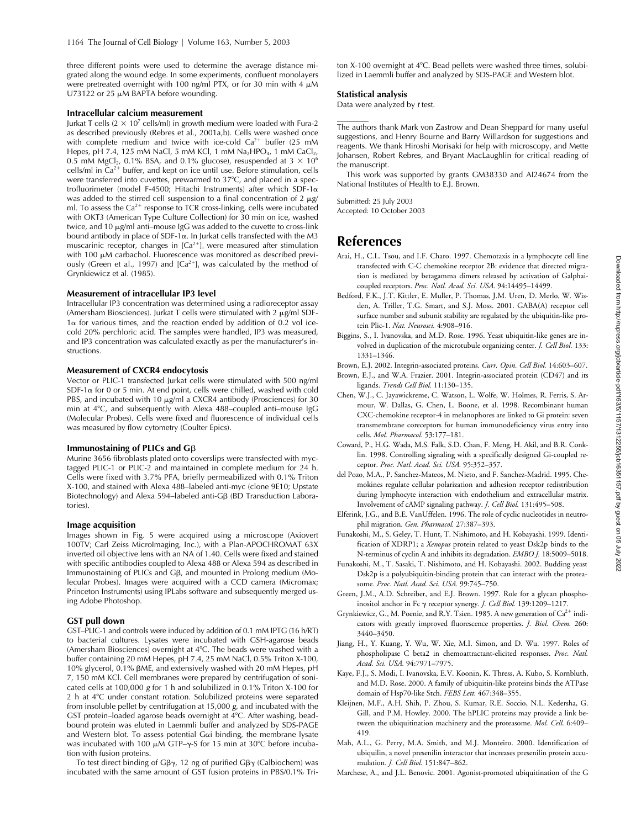three different points were used to determine the average distance migrated along the wound edge. In some experiments, confluent monolayers were pretreated overnight with 100 ng/ml PTX, or for 30 min with 4  $\mu$ M U73122 or 25  $\mu$ M BAPTA before wounding.

#### **Intracellular calcium measurement**

Jurkat T cells ( $2 \times 10^7$  cells/ml) in growth medium were loaded with Fura-2 as described previously (Rebres et al., 2001a,b). Cells were washed once with complete medium and twice with ice-cold  $Ca^{2+}$  buffer (25 mM Hepes, pH 7.4, 125 mM NaCl, 5 mM KCl, 1 mM Na<sub>2</sub>HPO<sub>4</sub>, 1 mM CaCl<sub>2</sub>, 0.5 mM MgCl<sub>2</sub>, 0.1% BSA, and 0.1% glucose), resuspended at  $3 \times 10^6$ cells/ml in  $Ca^{2+}$  buffer, and kept on ice until use. Before stimulation, cells were transferred into cuvettes, prewarmed to 37°C, and placed in a spectrofluorimeter (model F-4500; Hitachi Instruments) after which SDF-1 was added to the stirred cell suspension to a final concentration of 2  $\mu$ g/ ml. To assess the  $Ca^{2+}$  response to TCR cross-linking, cells were incubated with OKT3 (American Type Culture Collection) for 30 min on ice, washed twice, and 10  $\mu$ g/ml anti-mouse IgG was added to the cuvette to cross-link bound antibody in place of SDF-1 $\alpha$ . In Jurkat cells transfected with the M3 muscarinic receptor, changes in  $[Ca^{2+}]$ ; were measured after stimulation with 100  $\mu$ M carbachol. Fluorescence was monitored as described previously (Green et al., 1997) and  $[Ca^{2+}]$ <sub>i</sub> was calculated by the method of Grynkiewicz et al. (1985).

#### **Measurement of intracellular IP3 level**

Intracellular IP3 concentration was determined using a radioreceptor assay (Amersham Biosciences). Jurkat T cells were stimulated with 2  $\mu$ g/ml SDF- $1\alpha$  for various times, and the reaction ended by addition of 0.2 vol icecold 20% perchloric acid. The samples were handled, IP3 was measured, and IP3 concentration was calculated exactly as per the manufacturer's instructions.

#### **Measurement of CXCR4 endocytosis**

Vector or PLIC-1 transfected Jurkat cells were stimulated with 500 ng/ml SDF-1 $\alpha$  for 0 or 5 min. At end point, cells were chilled, washed with cold PBS, and incubated with 10  $\mu$ g/ml a CXCR4 antibody (Prosciences) for 30 min at 4°C, and subsequently with Alexa 488-coupled anti-mouse IgG (Molecular Probes). Cells were fixed and fluorescence of individual cells was measured by flow cytometry (Coulter Epics).

#### **Immunostaining of PLICs and G** $\beta$

Murine 3656 fibroblasts plated onto coverslips were transfected with myctagged PLIC-1 or PLIC-2 and maintained in complete medium for 24 h. Cells were fixed with 3.7% PFA, briefly permeabilized with 0.1% Triton X-100, and stained with Alexa 488–labeled anti-myc (clone 9E10; Upstate Biotechnology) and Alexa 594–labeled anti-G $\beta$  (BD Transduction Laboratories).

#### **Image acquisition**

Images shown in Fig. 5 were acquired using a microscope (Axiovert 100TV; Carl Zeiss MicroImaging, Inc.), with a Plan-APOCHROMAT 63X inverted oil objective lens with an NA of 1.40. Cells were fixed and stained with specific antibodies coupled to Alexa 488 or Alexa 594 as described in Immunostaining of PLICs and Gβ, and mounted in Prolong medium (Molecular Probes). Images were acquired with a CCD camera (Micromax; Princeton Instruments) using IPLabs software and subsequently merged using Adobe Photoshop.

#### **GST pull down**

GST–PLIC-1 and controls were induced by addition of 0.1 mM IPTG (16 h/RT) to bacterial cultures. Lysates were incubated with GSH-agarose beads (Amersham Biosciences) overnight at 4°C. The beads were washed with a buffer containing 20 mM Hepes, pH 7.4, 25 mM NaCl, 0.5% Triton X-100, 10% glycerol, 0.1% βME, and extensively washed with 20 mM Hepes, pH 7, 150 mM KCl. Cell membranes were prepared by centrifugation of sonicated cells at 100,000 *g* for 1 h and solubilized in 0.1% Triton X-100 for 2 h at 4C under constant rotation. Solubilized proteins were separated from insoluble pellet by centrifugation at 15,000 *g*, and incubated with the GST protein–loaded agarose beads overnight at 4°C. After washing, beadbound protein was eluted in Laemmli buffer and analyzed by SDS-PAGE and Western blot. To assess potential G $\alpha$ i binding, the membrane lysate was incubated with 100  $\mu$ M GTP- $\gamma$ -S for 15 min at 30°C before incubation with fusion proteins.

To test direct binding of G $\beta\gamma$ , 12 ng of purified G $\beta\gamma$  (Calbiochem) was incubated with the same amount of GST fusion proteins in PBS/0.1% Tri-

ton X-100 overnight at 4°C. Bead pellets were washed three times, solubilized in Laemmli buffer and analyzed by SDS-PAGE and Western blot.

## **Statistical analysis**

Data were analyzed by *t* test.

The authors thank Mark von Zastrow and Dean Sheppard for many useful suggestions, and Henry Bourne and Barry Willardson for suggestions and reagents. We thank Hiroshi Morisaki for help with microscopy, and Mette Johansen, Robert Rebres, and Bryant MacLaughlin for critical reading of the manuscript.

This work was supported by grants GM38330 and AI24674 from the National Institutes of Health to E.J. Brown.

Submitted: 25 July 2003

Accepted: 10 October 2003

## **References**

- Arai, H., C.L. Tsou, and I.F. Charo. 1997. Chemotaxis in a lymphocyte cell line transfected with C-C chemokine receptor 2B: evidence that directed migration is mediated by betagamma dimers released by activation of Galphaicoupled receptors. *Proc. Natl. Acad. Sci. USA.* 94:14495–14499.
- Bedford, F.K., J.T. Kittler, E. Muller, P. Thomas, J.M. Uren, D. Merlo, W. Wisden, A. Triller, T.G. Smart, and S.J. Moss. 2001. GABA(A) receptor cell surface number and subunit stability are regulated by the ubiquitin-like protein Plic-1. *Nat. Neurosci.* 4:908–916.
- Biggins, S., I. Ivanovska, and M.D. Rose. 1996. Yeast ubiquitin-like genes are involved in duplication of the microtubule organizing center. *J. Cell Biol.* 133: 1331–1346.

Brown, E.J. 2002. Integrin-associated proteins. *Curr. Opin. Cell Biol.* 14:603–607.

- Brown, E.J., and W.A. Frazier. 2001. Integrin-associated protein (CD47) and its ligands. *Trends Cell Biol.* 11:130–135.
- Chen, W.J., C. Jayawickreme, C. Watson, L. Wolfe, W. Holmes, R. Ferris, S. Armour, W. Dallas, G. Chen, L. Boone, et al. 1998. Recombinant human CXC-chemokine receptor-4 in melanophores are linked to Gi protein: seven transmembrane coreceptors for human immunodeficiency virus entry into cells. *Mol. Pharmacol.* 53:177–181.
- Coward, P., H.G. Wada, M.S. Falk, S.D. Chan, F. Meng, H. Akil, and B.R. Conklin. 1998. Controlling signaling with a specifically designed Gi-coupled receptor. *Proc. Natl. Acad. Sci. USA.* 95:352–357.
- del Pozo, M.A., P. Sanchez-Mateos, M. Nieto, and F. Sanchez-Madrid. 1995. Chemokines regulate cellular polarization and adhesion receptor redistribution during lymphocyte interaction with endothelium and extracellular matrix. Involvement of cAMP signaling pathway. *J. Cell Biol.* 131:495–508.
- Elferink, J.G., and B.E. VanUffelen. 1996. The role of cyclic nucleotides in neutrophil migration. *Gen. Pharmacol.* 27:387–393.
- Funakoshi, M., S. Geley, T. Hunt, T. Nishimoto, and H. Kobayashi. 1999. Identification of XDRP1; a *Xenopus* protein related to yeast Dsk2p binds to the N-terminus of cyclin A and inhibits its degradation. *EMBO J.* 18:5009–5018.
- Funakoshi, M., T. Sasaki, T. Nishimoto, and H. Kobayashi. 2002. Budding yeast Dsk2p is a polyubiquitin-binding protein that can interact with the proteasome. *Proc. Natl. Acad. Sci. USA.* 99:745–750.
- Green, J.M., A.D. Schreiber, and E.J. Brown. 1997. Role for a glycan phosphoinositol anchor in Fc γ receptor synergy. *J. Cell Biol.* 139:1209-1217.
- Grynkiewicz, G., M. Poenie, and R.Y. Tsien. 1985. A new generation of  $Ca^{2+}$  indicators with greatly improved fluorescence properties. *J. Biol. Chem.* 260: 3440–3450.
- Jiang, H., Y. Kuang, Y. Wu, W. Xie, M.I. Simon, and D. Wu. 1997. Roles of phospholipase C beta2 in chemoattractant-elicited responses. *Proc. Natl. Acad. Sci. USA.* 94:7971–7975.
- Kaye, F.J., S. Modi, I. Ivanovska, E.V. Koonin, K. Thress, A. Kubo, S. Kornbluth, and M.D. Rose. 2000. A family of ubiquitin-like proteins binds the ATPase domain of Hsp70-like Stch. *FEBS Lett.* 467:348–355.
- Kleijnen, M.F., A.H. Shih, P. Zhou, S. Kumar, R.E. Soccio, N.L. Kedersha, G. Gill, and P.M. Howley. 2000. The hPLIC proteins may provide a link between the ubiquitination machinery and the proteasome. *Mol. Cell.* 6:409– 419.
- Mah, A.L., G. Perry, M.A. Smith, and M.J. Monteiro. 2000. Identification of ubiquilin, a novel presenilin interactor that increases presenilin protein accumulation. *J. Cell Biol.* 151:847–862.
- Marchese, A., and J.L. Benovic. 2001. Agonist-promoted ubiquitination of the G